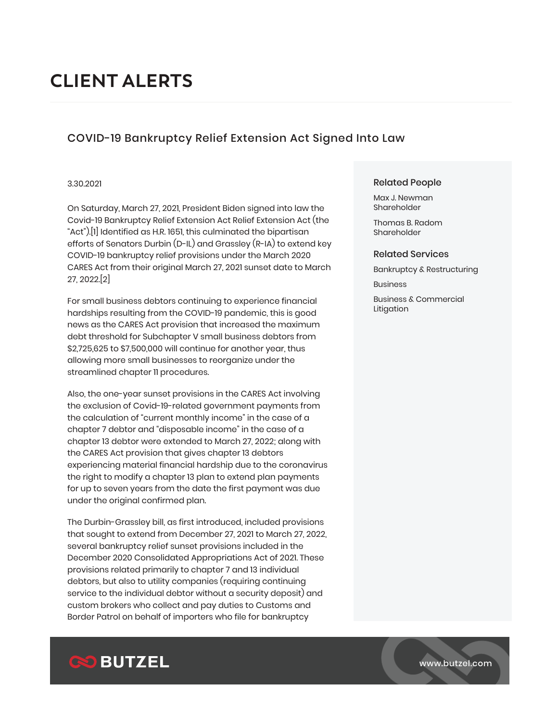# **CLIENT ALERTS**

## COVID-19 Bankruptcy Relief Extension Act Signed Into Law

#### 3.30.2021

On Saturday, March 27, 2021, President Biden signed into law the Covid-19 Bankruptcy Relief Extension Act Relief Extension Act (the "Act").[1] Identified as H.R. 1651, this culminated the bipartisan efforts of Senators Durbin (D-IL) and Grassley (R-IA) to extend key COVID-19 bankruptcy relief provisions under the March 2020 CARES Act from their original March 27, 2021 sunset date to March 27, 2022.[2]

For small business debtors continuing to experience financial hardships resulting from the COVID-19 pandemic, this is good news as the CARES Act provision that increased the maximum debt threshold for Subchapter V small business debtors from \$2,725,625 to \$7,500,000 will continue for another year, thus allowing more small businesses to reorganize under the streamlined chapter 11 procedures.

Also, the one-year sunset provisions in the CARES Act involving the exclusion of Covid-19-related government payments from the calculation of "current monthly income" in the case of a chapter 7 debtor and "disposable income" in the case of a chapter 13 debtor were extended to March 27, 2022; along with the CARES Act provision that gives chapter 13 debtors experiencing material financial hardship due to the coronavirus the right to modify a chapter 13 plan to extend plan payments for up to seven years from the date the first payment was due under the original confirmed plan.

The Durbin-Grassley bill, as first introduced, included provisions that sought to extend from December 27, 2021 to March 27, 2022, several bankruptcy relief sunset provisions included in the December 2020 Consolidated Appropriations Act of 2021. These provisions related primarily to chapter 7 and 13 individual debtors, but also to utility companies (requiring continuing service to the individual debtor without a security deposit) and custom brokers who collect and pay duties to Customs and Border Patrol on behalf of importers who file for bankruptcy

#### Related People

Max J. Newman Shareholder

Thomas B. Radom Shareholder

#### Related Services

Bankruptcy & Restructuring

**Business** 

Business & Commercial Litigation